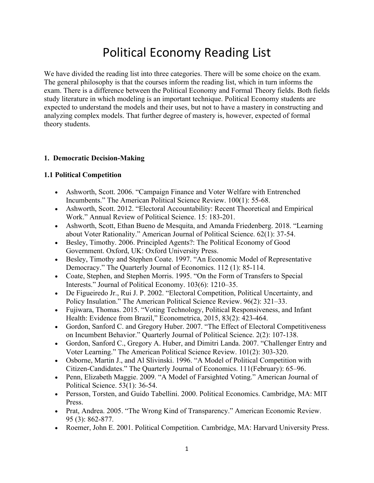# Political Economy Reading List

We have divided the reading list into three categories. There will be some choice on the exam. The general philosophy is that the courses inform the reading list, which in turn informs the exam. There is a difference between the Political Economy and Formal Theory fields. Both fields study literature in which modeling is an important technique. Political Economy students are expected to understand the models and their uses, but not to have a mastery in constructing and analyzing complex models. That further degree of mastery is, however, expected of formal theory students.

### **1. Democratic Decision-Making**

### **1.1 Political Competition**

- Ashworth, Scott. 2006. "Campaign Finance and Voter Welfare with Entrenched Incumbents." The American Political Science Review. 100(1): 55-68.
- Ashworth, Scott. 2012. "Electoral Accountability: Recent Theoretical and Empirical Work." Annual Review of Political Science. 15: 183-201.
- Ashworth, Scott, Ethan Bueno de Mesquita, and Amanda Friedenberg. 2018. "Learning about Voter Rationality." American Journal of Political Science. 62(1): 37-54.
- Besley, Timothy. 2006. Principled Agents?: The Political Economy of Good Government. Oxford, UK: Oxford University Press.
- Besley, Timothy and Stephen Coate. 1997. "An Economic Model of Representative Democracy." The Quarterly Journal of Economics. 112 (1): 85-114.
- Coate, Stephen, and Stephen Morris. 1995. "On the Form of Transfers to Special Interests." Journal of Political Economy. 103(6): 1210–35.
- De Figueiredo Jr., Rui J. P. 2002. "Electoral Competition, Political Uncertainty, and Policy Insulation." The American Political Science Review. 96(2): 321–33.
- Fujiwara, Thomas. 2015. "Voting Technology, Political Responsiveness, and Infant Health: Evidence from Brazil," Econometrica, 2015, 83(2): 423-464.
- Gordon, Sanford C. and Gregory Huber. 2007. "The Effect of Electoral Competitiveness on Incumbent Behavior." Quarterly Journal of Political Science. 2(2): 107-138.
- Gordon, Sanford C., Gregory A. Huber, and Dimitri Landa. 2007. "Challenger Entry and Voter Learning." The American Political Science Review. 101(2): 303-320.
- Osborne, Martin J., and Al Slivinski. 1996. "A Model of Political Competition with Citizen-Candidates." The Quarterly Journal of Economics. 111(February): 65–96.
- Penn, Elizabeth Maggie. 2009. "A Model of Farsighted Voting." American Journal of Political Science. 53(1): 36-54.
- Persson, Torsten, and Guido Tabellini. 2000. Political Economics. Cambridge, MA: MIT Press.
- Prat, Andrea. 2005. "The Wrong Kind of Transparency." American Economic Review. 95 (3): 862-877.
- Roemer, John E. 2001. Political Competition. Cambridge, MA: Harvard University Press.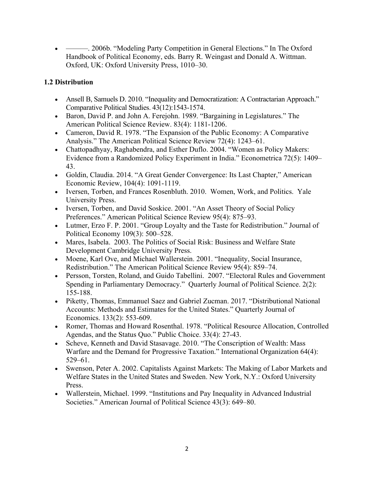• ————. 2006b. "Modeling Party Competition in General Elections." In The Oxford Handbook of Political Economy, eds. Barry R. Weingast and Donald A. Wittman. Oxford, UK: Oxford University Press, 1010–30.

## **1.2 Distribution**

- Ansell B, Samuels D. 2010. "Inequality and Democratization: A Contractarian Approach." Comparative Political Studies. 43(12):1543-1574.
- Baron, David P. and John A. Ferejohn. 1989. "Bargaining in Legislatures." The American Political Science Review. 83(4): 1181-1206.
- Cameron, David R. 1978. "The Expansion of the Public Economy: A Comparative Analysis." The American Political Science Review 72(4): 1243–61.
- Chattopadhyay, Raghabendra, and Esther Duflo. 2004. "Women as Policy Makers: Evidence from a Randomized Policy Experiment in India." Econometrica 72(5): 1409– 43.
- Goldin, Claudia. 2014. "A Great Gender Convergence: Its Last Chapter," American Economic Review, 104(4): 1091-1119.
- Iversen, Torben, and Frances Rosenbluth. 2010. Women, Work, and Politics. Yale University Press.
- Iversen, Torben, and David Soskice. 2001. "An Asset Theory of Social Policy Preferences." American Political Science Review 95(4): 875–93.
- Lutmer, Erzo F. P. 2001. "Group Loyalty and the Taste for Redistribution." Journal of Political Economy 109(3): 500–528.
- Mares, Isabela. 2003. The Politics of Social Risk: Business and Welfare State Development Cambridge University Press.
- Moene, Karl Ove, and Michael Wallerstein. 2001. "Inequality, Social Insurance, Redistribution." The American Political Science Review 95(4): 859–74.
- Persson, Torsten, Roland, and Guido Tabellini. 2007. "Electoral Rules and Government Spending in Parliamentary Democracy." Quarterly Journal of Political Science. 2(2): 155-188.
- Piketty, Thomas, Emmanuel Saez and Gabriel Zucman. 2017. "Distributional National Accounts: Methods and Estimates for the United States." Quarterly Journal of Economics. 133(2): 553-609.
- Romer, Thomas and Howard Rosenthal. 1978. "Political Resource Allocation, Controlled Agendas, and the Status Quo." Public Choice. 33(4): 27-43.
- Scheve, Kenneth and David Stasavage. 2010. "The Conscription of Wealth: Mass Warfare and the Demand for Progressive Taxation." International Organization 64(4): 529–61.
- Swenson, Peter A. 2002. Capitalists Against Markets: The Making of Labor Markets and Welfare States in the United States and Sweden. New York, N.Y.: Oxford University Press.
- Wallerstein, Michael. 1999. "Institutions and Pay Inequality in Advanced Industrial Societies." American Journal of Political Science 43(3): 649–80.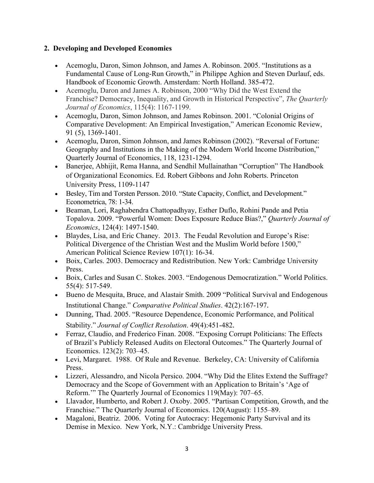## **2. Developing and Developed Economies**

- Acemoglu, Daron, Simon Johnson, and James A. Robinson. 2005. "Institutions as a Fundamental Cause of Long-Run Growth," in Philippe Aghion and Steven Durlauf, eds. Handbook of Economic Growth. Amsterdam: North Holland. 385-472.
- Acemoglu, Daron and James A. Robinson, 2000 "Why Did the West Extend the Franchise? Democracy, Inequality, and Growth in Historical Perspective", *The Quarterly Journal of Economics*, 115(4): 1167-1199.
- Acemoglu, Daron, Simon Johnson, and James Robinson. 2001. "Colonial Origins of Comparative Development: An Empirical Investigation," American Economic Review, 91 (5), 1369-1401.
- Acemoglu, Daron, Simon Johnson, and James Robinson (2002). "Reversal of Fortune: Geography and Institutions in the Making of the Modern World Income Distribution," Quarterly Journal of Economics, 118, 1231-1294.
- Banerjee, Abhijit, Rema Hanna, and Sendhil Mullainathan "Corruption" The Handbook of Organizational Economics. Ed. Robert Gibbons and John Roberts. Princeton University Press, 1109-1147
- Besley, Tim and Torsten Persson. 2010. "State Capacity, Conflict, and Development." Econometrica, 78: 1-34.
- Beaman, Lori, Raghabendra Chattopadhyay, Esther Duflo, Rohini Pande and Petia Topalova. 2009. "Powerful Women: Does Exposure Reduce Bias?," *Quarterly Journal of Economics*, 124(4): 1497-1540.
- Blaydes, Lisa, and Eric Chaney. 2013. The Feudal Revolution and Europe's Rise: Political Divergence of the Christian West and the Muslim World before 1500," American Political Science Review 107(1): 16-34.
- Boix, Carles. 2003. Democracy and Redistribution. New York: Cambridge University Press.
- Boix, Carles and Susan C. Stokes. 2003. "Endogenous Democratization." World Politics. 55(4): 517-549.
- Bueno de Mesquita, Bruce, and Alastair Smith. 2009 "Political Survival and Endogenous Institutional Change." *Comparative Political Studies*. 42(2):167-197.
- Dunning, Thad. 2005. "Resource Dependence, Economic Performance, and Political Stability." *Journal of Conflict Resolution*. 49(4):451-482.
- Ferraz, Claudio, and Frederico Finan. 2008. "Exposing Corrupt Politicians: The Effects of Brazil's Publicly Released Audits on Electoral Outcomes." The Quarterly Journal of Economics. 123(2): 703–45.
- Levi, Margaret. 1988. Of Rule and Revenue. Berkeley, CA: University of California Press.
- Lizzeri, Alessandro, and Nicola Persico. 2004. "Why Did the Elites Extend the Suffrage? Democracy and the Scope of Government with an Application to Britain's 'Age of Reform.'" The Quarterly Journal of Economics 119(May): 707–65.
- Llavador, Humberto, and Robert J. Oxoby. 2005. "Partisan Competition, Growth, and the Franchise." The Quarterly Journal of Economics. 120(August): 1155–89.
- Magaloni, Beatriz. 2006. Voting for Autocracy: Hegemonic Party Survival and its Demise in Mexico. New York, N.Y.: Cambridge University Press.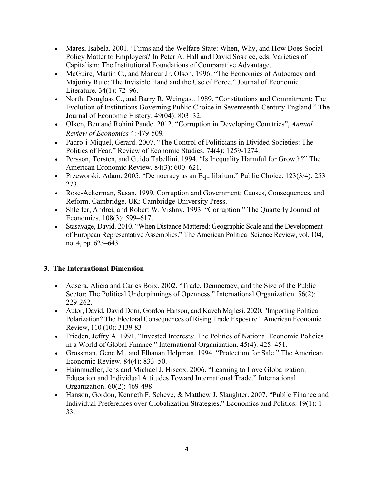- Mares, Isabela. 2001. "Firms and the Welfare State: When, Why, and How Does Social Policy Matter to Employers? In Peter A. Hall and David Soskice, eds. Varieties of Capitalism: The Institutional Foundations of Comparative Advantage.
- McGuire, Martin C., and Mancur Jr. Olson. 1996. "The Economics of Autocracy and Majority Rule: The Invisible Hand and the Use of Force." Journal of Economic Literature. 34(1): 72–96.
- North, Douglass C., and Barry R. Weingast. 1989. "Constitutions and Commitment: The Evolution of Institutions Governing Public Choice in Seventeenth-Century England." The Journal of Economic History. 49(04): 803–32.
- Olken, Ben and Rohini Pande. 2012. "Corruption in Developing Countries", *Annual Review of Economics* 4: 479-509*.*
- Padro-i-Miquel, Gerard. 2007. "The Control of Politicians in Divided Societies: The Politics of Fear." Review of Economic Studies. 74(4): 1259-1274.
- Persson, Torsten, and Guido Tabellini. 1994. "Is Inequality Harmful for Growth?" The American Economic Review. 84(3): 600–621.
- Przeworski, Adam. 2005. "Democracy as an Equilibrium." Public Choice. 123(3/4): 253– 273.
- Rose-Ackerman, Susan. 1999. Corruption and Government: Causes, Consequences, and Reform. Cambridge, UK: Cambridge University Press.
- Shleifer, Andrei, and Robert W. Vishny. 1993. "Corruption." The Quarterly Journal of Economics. 108(3): 599–617.
- Stasavage, David. 2010. "When Distance Mattered: Geographic Scale and the Development of European Representative Assemblies." The American Political Science Review, vol. 104, no. 4, pp. 625–643

## **3. The International Dimension**

- Adsera, Alicia and Carles Boix. 2002. "Trade, Democracy, and the Size of the Public Sector: The Political Underpinnings of Openness." International Organization. 56(2): 229-262.
- Autor, David, David Dorn, Gordon Hanson, and Kaveh Majlesi. 2020. "Importing Political Polarization? The Electoral Consequences of Rising Trade Exposure." American Economic Review, 110 (10): 3139-83
- Frieden, Jeffry A. 1991. "Invested Interests: The Politics of National Economic Policies in a World of Global Finance." International Organization. 45(4): 425–451.
- Grossman, Gene M., and Elhanan Helpman. 1994. "Protection for Sale." The American Economic Review. 84(4): 833–50.
- Hainmueller, Jens and Michael J. Hiscox. 2006. "Learning to Love Globalization: Education and Individual Attitudes Toward International Trade." International Organization. 60(2): 469-498.
- Hanson, Gordon, Kenneth F. Scheve, & Matthew J. Slaughter. 2007. "Public Finance and Individual Preferences over Globalization Strategies." Economics and Politics. 19(1): 1– 33.